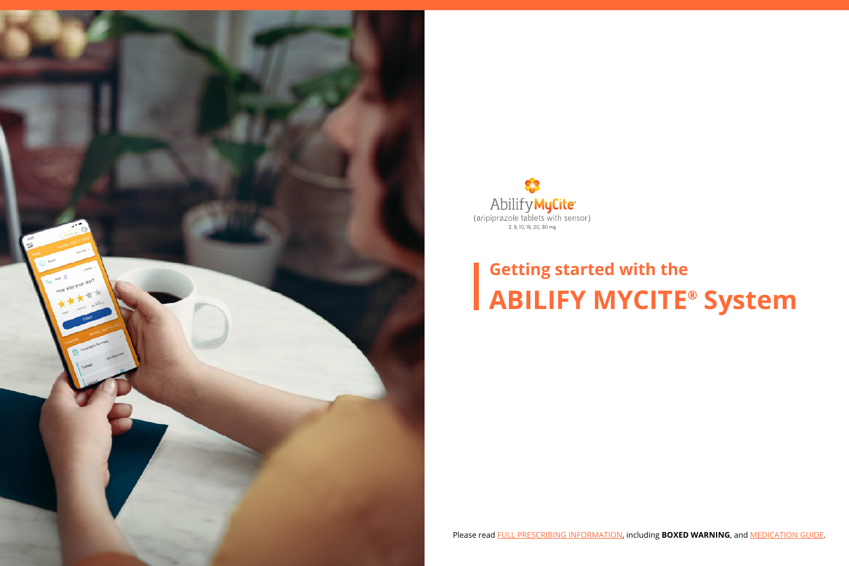



# **Getting started with the ABILIFY MYCITE® System**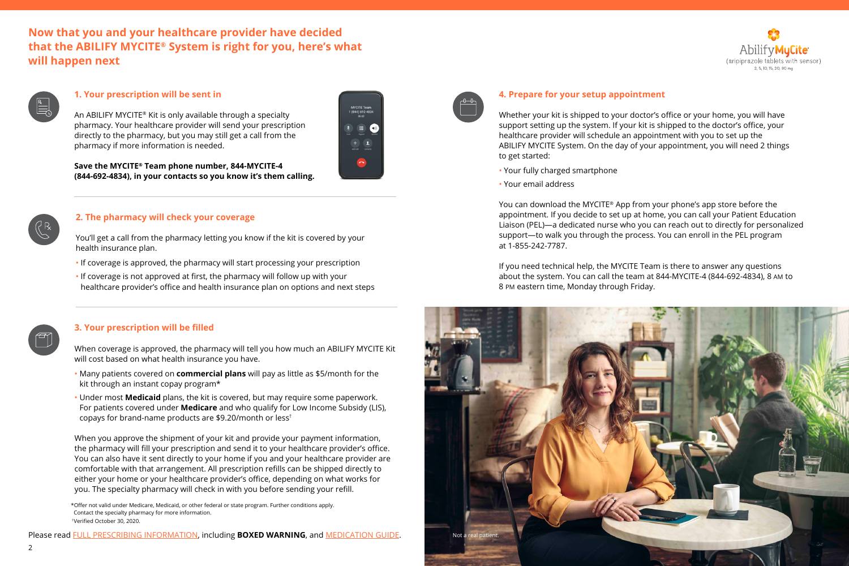# **Now that you and your healthcare provider have decided that the ABILIFY MYCITE® System is right for you, here's what will happen next**





## **1. Your prescription will be sent in**

An ABILIFY MYCITE® Kit is only available through a specialty pharmacy. Your healthcare provider will send your prescription directly to the pharmacy, but you may still get a call from the pharmacy if more information is needed.



**Save the MYCITE® Team phone number, 844-MYCITE-4 (844-692-4834), in your contacts so you know it's them calling.**

## **2. The pharmacy will check your coverage**

You'll get a call from the pharmacy letting you know if the kit is covered by your health insurance plan.

- If coverage is approved, the pharmacy will start processing your prescription
- If coverage is not approved at first, the pharmacy will follow up with your healthcare provider's office and health insurance plan on options and next steps



#### **3. Your prescription will be filled**

When coverage is approved, the pharmacy will tell you how much an ABILIFY MYCITE Kit will cost based on what health insurance you have.

- Many patients covered on **commercial plans** will pay as little as \$5/month for the kit through an instant copay program\*
- Under most **Medicaid** plans, the kit is covered, but may require some paperwork. For patients covered under **Medicare** and who qualify for Low Income Subsidy (LIS), copays for brand-name products are \$9.20/month or less†

When you approve the shipment of your kit and provide your payment information, the pharmacy will fill your prescription and send it to your healthcare provider's office. You can also have it sent directly to your home if you and your healthcare provider are comfortable with that arrangement. All prescription refills can be shipped directly to either your home or your healthcare provider's office, depending on what works for you. The specialty pharmacy will check in with you before sending your refill.

\*Offer not valid under Medicare, Medicaid, or other federal or state program. Further conditions apply. Contact the specialty pharmacy for more information. † Verified October 30, 2020.

Please read [FULL PRESCRIBING INFORMATION,](https://www.otsuka-us.com/media/static/ABILIFY-MYCITE-PI.pdf) including **BOXED WARNING**, and [MEDICATION GUIDE.](https://www.otsuka-us.com/media/static/ABILIFY-MYCITE-MEDGUIDE.pdf)



#### **4. Prepare for your setup appointment**

Whether your kit is shipped to your doctor's office or your home, you will have support setting up the system. If your kit is shipped to the doctor's office, your healthcare provider will schedule an appointment with you to set up the ABILIFY MYCITE System. On the day of your appointment, you will need 2 things to get started:

• Your fully charged smartphone

• Your email address

You can download the MYCITE® App from your phone's app store before the appointment. If you decide to set up at home, you can call your Patient Education Liaison (PEL)—a dedicated nurse who you can reach out to directly for personalized support—to walk you through the process. You can enroll in the PEL program at 1-855-242-7787.

If you need technical help, the MYCITE Team is there to answer any questions about the system. You can call the team at 844-MYCITE-4 (844-692-4834), 8 AM to 8 PM eastern time, Monday through Friday.